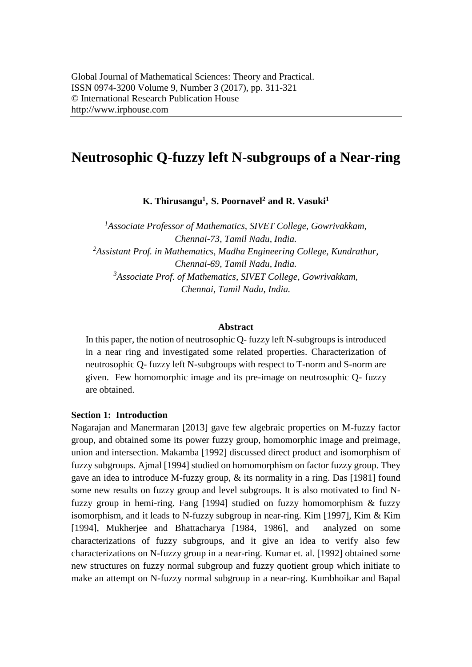# **Neutrosophic Q-fuzzy left N-subgroups of a Near-ring**

**K. Thirusangu<sup>1</sup> , S. Poornavel<sup>2</sup> and R. Vasuki<sup>1</sup>**

<sup>1</sup> Associate Professor of Mathematics, SIVET College, Gowrivakkam, *Chennai-73, Tamil Nadu, India. <sup>2</sup>Assistant Prof. in Mathematics, Madha Engineering College, Kundrathur, Chennai-69, Tamil Nadu, India. <sup>3</sup>Associate Prof. of Mathematics, SIVET College, Gowrivakkam, Chennai, Tamil Nadu, India.*

### **Abstract**

In this paper, the notion of neutrosophic Q- fuzzy left N-subgroups is introduced in a near ring and investigated some related properties. Characterization of neutrosophic Q- fuzzy left N-subgroups with respect to T-norm and S-norm are given. Few homomorphic image and its pre-image on neutrosophic Q- fuzzy are obtained.

### **Section 1: Introduction**

Nagarajan and Manermaran [2013] gave few algebraic properties on M-fuzzy factor group, and obtained some its power fuzzy group, homomorphic image and preimage, union and intersection. Makamba [1992] discussed direct product and isomorphism of fuzzy subgroups. Ajmal [1994] studied on homomorphism on factor fuzzy group. They gave an idea to introduce M-fuzzy group, & its normality in a ring. Das [1981] found some new results on fuzzy group and level subgroups. It is also motivated to find Nfuzzy group in hemi-ring. Fang [1994] studied on fuzzy homomorphism & fuzzy isomorphism, and it leads to N-fuzzy subgroup in near-ring. Kim [1997], Kim & Kim [1994], Mukherjee and Bhattacharya [1984, 1986], and analyzed on some characterizations of fuzzy subgroups, and it give an idea to verify also few characterizations on N-fuzzy group in a near-ring. Kumar et. al. [1992] obtained some new structures on fuzzy normal subgroup and fuzzy quotient group which initiate to make an attempt on N-fuzzy normal subgroup in a near-ring. Kumbhoikar and Bapal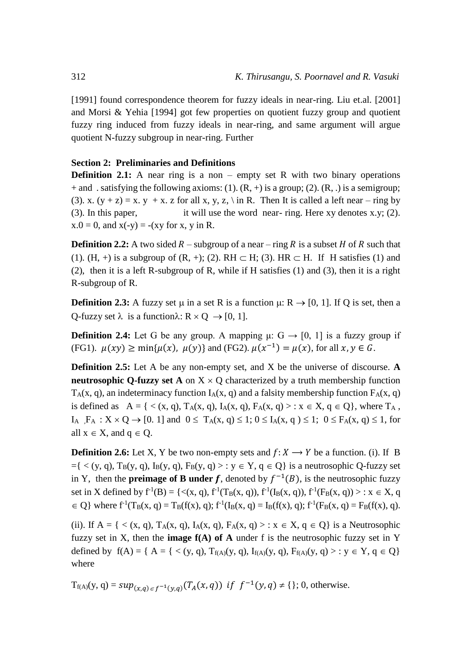[1991] found correspondence theorem for fuzzy ideals in near-ring. Liu et.al. [2001] and Morsi & Yehia [1994] got few properties on quotient fuzzy group and quotient fuzzy ring induced from fuzzy ideals in near-ring, and same argument will argue quotient N-fuzzy subgroup in near-ring. Further

## **Section 2: Preliminaries and Definitions**

**Definition 2.1:** A near ring is a non – empty set R with two binary operations + and . satisfying the following axioms: (1).  $(R, +)$  is a group; (2).  $(R, .)$  is a semigroup; (3). x.  $(y + z) = x$ . y + x. z for all x, y, z, \ in R. Then It is called a left near – ring by (3). In this paper, it will use the word near- ring. Here xy denotes x.y; (2).  $x.0 = 0$ , and  $x(-y) = -(xy$  for x, y in R.

**Definition 2.2:** A two sided  $R$  – subgroup of a near – ring  $R$  is a subset  $H$  of  $R$  such that (1). (H, +) is a subgroup of  $(R, +)$ ; (2). RH  $\subset$  H; (3). HR  $\subset$  H. If H satisfies (1) and (2), then it is a left R-subgroup of R, while if H satisfies (1) and (3), then it is a right R-subgroup of R.

**Definition 2.3:** A fuzzy set  $\mu$  in a set R is a function  $\mu$ : R  $\rightarrow$  [0, 1]. If Q is set, then a Q-fuzzy set  $\lambda$  is a function $\lambda: \mathbb{R} \times \mathbb{Q} \rightarrow [0, 1]$ .

**Definition 2.4:** Let G be any group. A mapping  $\mu$ :  $G \rightarrow [0, 1]$  is a fuzzy group if (FG1).  $\mu(xy) \ge \min{\mu(x), \mu(y)}$  and (FG2).  $\mu(x^{-1}) = \mu(x)$ , for all  $x, y \in G$ .

**Definition 2.5:** Let A be any non-empty set, and X be the universe of discourse. **A neutrosophic Q-fuzzy set A** on  $X \times Q$  characterized by a truth membership function  $T_A(x, q)$ , an indeterminacy function  $I_A(x, q)$  and a falsity membership function  $F_A(x, q)$ is defined as  $A = \{ \langle x, q \rangle, T_A(x, q), I_A(x, q), F_A(x, q) \rangle : x \in X, q \in Q \}$ , where  $T_A$ ,  $I_A$ ,  $F_A: X \times Q \rightarrow [0, 1]$  and  $0 \leq T_A(x, q) \leq 1$ ;  $0 \leq I_A(x, q) \leq 1$ ;  $0 \leq F_A(x, q) \leq 1$ , for all  $x \in X$ , and  $q \in Q$ .

**Definition 2.6:** Let X, Y be two non-empty sets and  $f: X \rightarrow Y$  be a function. (i). If B  $= \{ \langle y, q \rangle, T_B(y, q), I_B(y, q), F_B(y, q) \rangle : y \in Y, q \in Q \}$  is a neutrosophic Q-fuzzy set in Y, then the **preimage of B under** f, denoted by  $f^{-1}(B)$ , is the neutrosophic fuzzy set in X defined by  $f^{-1}(B) = \{ \langle (x, q), f^{1}(T_{B}(x, q)), f^{1}(I_{B}(x, q)), f^{1}(F_{B}(x, q)) \rangle : x \in X, q \}$  $\in Q$ } where  $f^{-1}(T_B(x, q) = T_B(f(x), q); f^{-1}(I_B(x, q) = I_B(f(x), q); f^{-1}(F_B(x, q) = F_B(f(x), q)).$ 

(ii). If  $A = \{ \langle x, q \rangle, T_A(x, q), I_A(x, q), F_A(x, q) \rangle : x \in X, q \in Q \}$  is a Neutrosophic fuzzy set in X, then the **image f(A) of A** under f is the neutrosophic fuzzy set in Y defined by  $f(A) = \{ A = \{ \langle (y, q), T_{f(A)}(y, q), I_{f(A)}(y, q), F_{f(A)}(y, q) \rangle : y \in Y, q \in Q \}$ where

 $T_{f(A)}(y, q) = \sup_{(x,q) \in f^{-1}(y,q)} (T_A(x,q))$  if  $f^{-1}(y,q) \neq \{\}; 0$ , otherwise.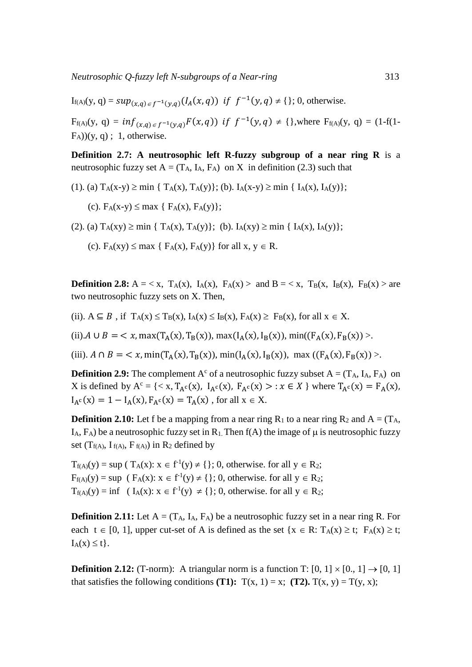$I_{f(A)}(y, q) = \sup_{(x,q) \in f^{-1}(y,q)} (I_A(x,q))$  if  $f^{-1}(y,q) \neq \{\}; 0$ , otherwise.

 $F_{f(A)}(y, q) = inf_{(x,q) \in f^{-1}(y,q)} F(x,q)$  if  $f^{-1}(y,q) \neq \{\}$ , where  $F_{f(A)}(y,q) = (1-f(1-q))$  $(F_A)(y, q)$ ; 1, otherwise.

**Definition 2.7: A neutrosophic left R-fuzzy subgroup of a near ring R** is a neutrosophic fuzzy set  $A = (T_A, I_A, F_A)$  on X in definition (2.3) such that

(1). (a)  $T_A(x-y) \ge \min \{ T_A(x), T_A(y) \};$  (b).  $I_A(x-y) \ge \min \{ I_A(x), I_A(y) \};$ 

(c).  $F_A(x-y) \le \max \{ F_A(x), F_A(y) \};$ 

(2). (a)  $T_A(xy) \ge \min \{ T_A(x), T_A(y) \};$  (b).  $I_A(xy) \ge \min \{ I_A(x), I_A(y) \};$ 

(c).  $F_A(xy) \leq max \{ F_A(x), F_A(y) \}$  for all  $x, y \in R$ .

**Definition 2.8:**  $A = \langle x, T_A(x), I_A(x), F_A(x) \rangle$  and  $B = \langle x, T_B(x), I_B(x), F_B(x) \rangle$  are two neutrosophic fuzzy sets on X. Then,

(ii).  $A \subseteq B$ , if  $T_A(x) \le T_B(x)$ ,  $I_A(x) \le I_B(x)$ ,  $F_A(x) \ge F_B(x)$ , for all  $x \in X$ .

(ii).  $A \cup B = \langle x, \max(T_A(x), T_B(x)), \max(T_A(x), I_B(x)), \min((F_A(x), F_B(x))) \rangle$ .

(iii).  $A \cap B = \langle x, \min(T_A(x), T_B(x)), \min(T_A(x), I_B(x)), \max(T_A(x), F_B(x)) \rangle$ .

**Definition 2.9:** The complement  $A^c$  of a neutrosophic fuzzy subset  $A = (T_A, I_A, F_A)$  on X is defined by  $A^c = \{ \langle x, T_{A^c}(x), I_{A^c}(x), F_{A^c}(x) \rangle : x \in X \}$  where  $T_{A^c}(x) = F_A(x)$ ,  $I_{A}c(x) = 1 - I_{A}(x)$ ,  $F_{A}c(x) = T_{A}(x)$ , for all  $x \in X$ .

**Definition 2.10:** Let f be a mapping from a near ring  $R_1$  to a near ring  $R_2$  and  $A = (T_A, T_B)$ I<sub>A</sub>,  $F_A$ ) be a neutrosophic fuzzy set in R<sub>1</sub>. Then f(A) the image of  $\mu$  is neutrosophic fuzzy set  $(T_{f(A)}, I_{f(A)}, F_{f(A)})$  in  $R_2$  defined by

 $T_{f(A)}(y) = \sup (T_A(x): x \in f^{-1}(y) \neq \{\}; 0, \text{ otherwise. for all } y \in R_2;$  $F_{f(A)}(y) = \sup (F_A(x)) : x \in f^{-1}(y) \neq \{\}; 0$ , otherwise. for all  $y \in R_2$ ;  $T_{f(A)}(y) = \inf \left( I_A(x) : x \in f^{-1}(y) \neq \{\}; 0, \text{ otherwise. for all } y \in R_2; \right)$ 

**Definition 2.11:** Let  $A = (T_A, I_A, F_A)$  be a neutrosophic fuzzy set in a near ring R. For each  $t \in [0, 1]$ , upper cut-set of A is defined as the set { $x \in R$ : T<sub>A</sub>(x) ≥ t; F<sub>A</sub>(x) ≥ t;  $I_A(x) \leq t$ .

**Definition 2.12:** (T-norm): A triangular norm is a function T:  $[0, 1] \times [0, 1] \rightarrow [0, 1]$ that satisfies the following conditions **(T1):**  $T(x, 1) = x$ ; **(T2).**  $T(x, y) = T(y, x)$ ;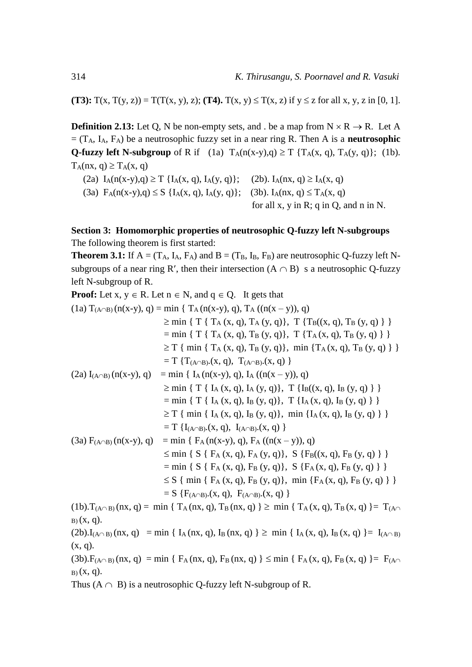**(T3):**  $T(x, T(y, z)) = T(T(x, y), z)$ ; **(T4).**  $T(x, y) \leq T(x, z)$  if  $y \leq z$  for all x, y, z in [0, 1].

**Definition 2.13:** Let O, N be non-empty sets, and . be a map from  $N \times R \rightarrow R$ . Let A  $=$  (T<sub>A</sub>, I<sub>A</sub>, F<sub>A</sub>) be a neutrosophic fuzzy set in a near ring R. Then A is a **neutrosophic Q-fuzzy left N-subgroup** of R if (1a)  $T_A(n(x-y),q) \ge T \{T_A(x, q), T_A(y, q)\};$  (1b).  $T_A(nx, q) \ge T_A(x, q)$ 

(2a)  $I_A(n(x-y), q) \ge T \{I_A(x, q), I_A(y, q)\};$  (2b).  $I_A(nx, q) \ge I_A(x, q)$ (3a)  $F_A(n(x-y), q) \le S \{I_A(x, q), I_A(y, q)\};$  (3b).  $I_A(nx, q) \le T_A(x, q)$ for all x, y in R; q in Q, and n in N.

# **Section 3: Homomorphic properties of neutrosophic Q-fuzzy left N-subgroups** The following theorem is first started:

**Theorem 3.1:** If  $A = (T_A, I_A, F_A)$  and  $B = (T_B, I_B, F_B)$  are neutrosophic Q-fuzzy left Nsubgroups of a near ring R', then their intersection  $(A \cap B)$  s a neutrosophic Q-fuzzy left N-subgroup of R.

**Proof:** Let x, y R. Let n N, and q Q. It gets that (1a) T(AB) (n(x-y), q) = min { T<sup>A</sup> (n(x-y), q), T<sup>A</sup> ((n(x – y)), q) min { T { T<sup>A</sup> (x, q), T<sup>A</sup> (y, q)}, T {TB((x, q), T<sup>B</sup> (y, q) } } = min { T { T<sup>A</sup> (x, q), T<sup>B</sup> (y, q)}, T {TA (x, q), T<sup>B</sup> (y, q) } } T { min { T<sup>A</sup> (x, q), T<sup>B</sup> (y, q)}, min {TA (x, q), T<sup>B</sup> (y, q) } } = T {T(AB).(x, q), T(AB).(x, q) } (2a) I(AB) (n(x-y), q) = min { I<sup>A</sup> (n(x-y), q), I<sup>A</sup> ((n(x – y)), q) min { T { I<sup>A</sup> (x, q), I<sup>A</sup> (y, q)}, T {IB((x, q), I<sup>B</sup> (y, q) } } = min { T { I<sup>A</sup> (x, q), I<sup>B</sup> (y, q)}, T {IA (x, q), I<sup>B</sup> (y, q) } } T { min { I<sup>A</sup> (x, q), I<sup>B</sup> (y, q)}, min {IA (x, q), I<sup>B</sup> (y, q) } } = T {I(AB).(x, q), I(AB).(x, q) } (3a) F(AB) (n(x-y), q) = min { F<sup>A</sup> (n(x-y), q), F<sup>A</sup> ((n(x – y)), q) min { S { F<sup>A</sup> (x, q), F<sup>A</sup> (y, q)}, S {FB((x, q), F<sup>B</sup> (y, q) } } = min { S { F<sup>A</sup> (x, q), F<sup>B</sup> (y, q)}, S {FA (x, q), F<sup>B</sup> (y, q) } } S { min { F<sup>A</sup> (x, q), F<sup>B</sup> (y, q)}, min {FA (x, q), F<sup>B</sup> (y, q) } } = S {F(AB).(x, q), F(AB).(x, q) }

 $(1b)$ .T<sub>(A $\cap$ B)</sub> (nx, q) = min { T<sub>A</sub>(nx, q), T<sub>B</sub>(nx, q) }  $\geq$  min { T<sub>A</sub>(x, q), T<sub>B</sub>(x, q) } = T<sub>(A $\cap$ </sub>  $B(x, q)$ .  $(2b)$ . $I_{(A \cap B)}$  (nx, q) = min {  $I_A$  (nx, q),  $I_B$  (nx, q) }  $\geq$  min {  $I_A$  (x, q),  $I_B$  (x, q) } =  $I_{(A \cap B)}$ 

 $(x, q)$ .

 $(3b)$ .F<sub>(A $\cap$ B)</sub> (nx, q) = min { F<sub>A</sub>(nx, q), F<sub>B</sub>(nx, q) }  $\leq$  min { F<sub>A</sub>(x, q), F<sub>B</sub>(x, q) } = F<sub>(A $\cap$ </sub>  $B(x, q)$ .

Thus  $(A \cap B)$  is a neutrosophic Q-fuzzy left N-subgroup of R.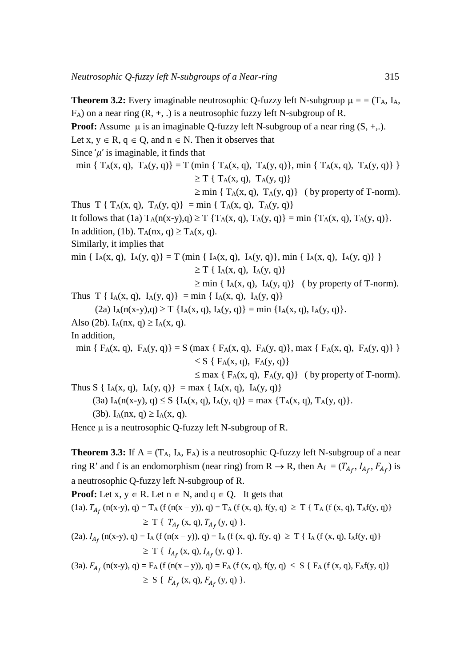**Theorem 3.2:** Every imaginable neutrosophic Q-fuzzy left N-subgroup = = (TA, IA,  $F_A$ ) on a near ring  $(R, +, \cdot)$  is a neutrosophic fuzzy left N-subgroup of R. **Proof:** Assume  $\mu$  is an imaginable Q-fuzzy left N-subgroup of a near ring  $(S, +, .)$ . Let x,  $y \in R$ ,  $q \in Q$ , and  $n \in N$ . Then it observes that Since  $\mu$  is imaginable, it finds that min {  $T_A(x, q)$ ,  $T_A(y, q)$ } = T (min {  $T_A(x, q)$ ,  $T_A(y, q)$ }, min {  $T_A(x, q)$ ,  $T_A(y, q)$ } }  $\geq$  T { T<sub>A</sub>(x, q), T<sub>A</sub>(y, q)}  $\geq$  min { T<sub>A</sub>(x, q), T<sub>A</sub>(y, q)} ( by property of T-norm). Thus  $T \{ T_A(x, q), T_A(y, q) \} = \min \{ T_A(x, q), T_A(y, q) \}$ It follows that (1a)  $T_A(n(x-y), q) \geq T \{T_A(x, q), T_A(y, q)\} = \min \{T_A(x, q), T_A(y, q)\}.$ In addition, (1b).  $T_A(nx, q) \ge T_A(x, q)$ . Similarly, it implies that min {  $I_A(x, q)$ ,  $I_A(y, q)$ } = T (min {  $I_A(x, q)$ ,  $I_A(y, q)$ }, min {  $I_A(x, q)$ ,  $I_A(y, q)$ } }  $\geq$  T { I<sub>A</sub>(x, q), I<sub>A</sub>(y, q)}  $\geq$  min { I<sub>A</sub>(x, q), I<sub>A</sub>(y, q)} ( by property of T-norm). Thus T {  $I_A(x, q)$ ,  $I_A(y, q)$ } = min {  $I_A(x, q)$ ,  $I_A(y, q)$ }  $(2a) I_A(n(x-y), q) \ge T \{I_A(x, q), I_A(y, q)\} = \min \{I_A(x, q), I_A(y, q)\}.$ Also (2b).  $I_A(nx, q) \ge I_A(x, q)$ . In addition, min {  $F_A(x, q)$ ,  $F_A(y, q)$ } = S (max {  $F_A(x, q)$ ,  $F_A(y, q)$ }, max {  $F_A(x, q)$ ,  $F_A(y, q)$ } }  $\leq S$  {  $F_A(x, q)$ ,  $F_A(y, q)$ }  $\leq$  max { F<sub>A</sub>(x, q), F<sub>A</sub>(y, q)} ( by property of T-norm). Thus S {  $I_A(x, q)$ ,  $I_A(y, q)$ } = max {  $I_A(x, q)$ ,  $I_A(y, q)$ } (3a)  $I_A(n(x-y), q) \le S \{I_A(x, q), I_A(y, q)\} = max \{T_A(x, q), T_A(y, q)\}.$ (3b). I<sub>A</sub>(nx, q)  $\geq$  I<sub>A</sub>(x, q). Hence  $\mu$  is a neutrosophic Q-fuzzy left N-subgroup of R.

**Theorem 3.3:** If  $A = (T_A, I_A, F_A)$  is a neutrosophic Q-fuzzy left N-subgroup of a near ring R' and f is an endomorphism (near ring) from R  $\rightarrow$  R, then A<sub>f</sub> = ( $T_{A_f}$ ,  $I_{A_f}$ ,  $F_{A_f}$ ) is a neutrosophic Q-fuzzy left N-subgroup of R.

**Proof:** Let  $x, y \in R$ . Let  $n \in N$ , and  $q \in Q$ . It gets that (1a).  $T_{A_f}$  (n(x-y), q) = T<sub>A</sub> (f (n(x – y)), q) = T<sub>A</sub> (f (x, q), f(y, q)  $\geq$  T { T<sub>A</sub> (f (x, q), T<sub>A</sub>f(y, q)}  $\geq T \{ T_{A_f}(x, q), T_{A_f}(y, q) \}.$ (2a).  $I_{A_f}$  (n(x-y), q) = I<sub>A</sub> (f (n(x - y)), q) = I<sub>A</sub> (f (x, q), f(y, q)  $\geq$  T { I<sub>A</sub> (f (x, q), I<sub>A</sub>f(y, q)}  $\geq T \{ I_{A_f}(x, q), I_{A_f}(y, q) \}.$ (3a).  $F_{A_f}$  (n(x-y), q) = F<sub>A</sub> (f (n(x – y)), q) = F<sub>A</sub> (f (x, q), f(y, q)  $\leq S \{F_A$  (f (x, q), F<sub>A</sub>f(y, q)}  $\geq S \{ F_{A_f}(x, q), F_{A_f}(y, q) \}.$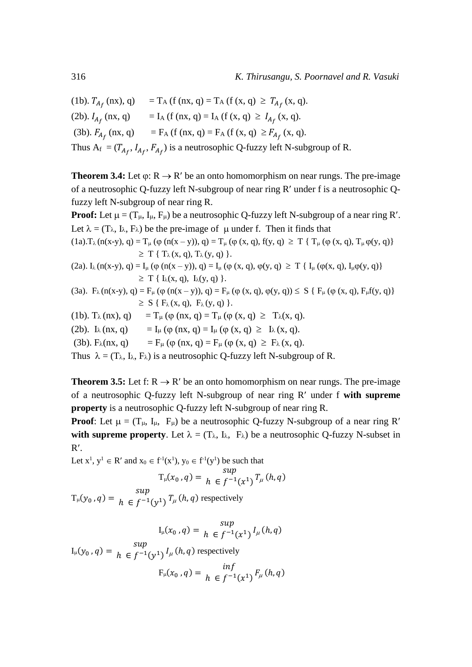(1b).  $T_{A_f}$  (nx), q) = T<sub>A</sub> (f (nx, q) = T<sub>A</sub> (f (x, q)  $\geq T_{A_f}$  (x, q). (2b).  $I_{A_f}$  (nx, q) = I<sub>A</sub> (f (nx, q) = I<sub>A</sub> (f (x, q)  $\geq I_{A_f}$  (x, q). (3b).  $F_{A_f}$  (nx, q) = F<sub>A</sub> (f (nx, q) = F<sub>A</sub> (f (x, q)  $\geq F_{A_f}$  (x, q). Thus  $A_f = (T_{A_f}, I_{A_f}, F_{A_f})$  is a neutrosophic Q-fuzzy left N-subgroup of R.

**Theorem 3.4:** Let  $\varphi$ :  $R \rightarrow R'$  be an onto homomorphism on near rungs. The pre-image of a neutrosophic Q-fuzzy left N-subgroup of near ring R' under f is a neutrosophic Qfuzzy left N-subgroup of near ring R.

**Proof:** Let  $\mu = (T_{\mu}, I_{\mu}, F_{\mu})$  be a neutrosophic Q-fuzzy left N-subgroup of a near ring R'. Let  $\lambda = (T_{\lambda}, I_{\lambda}, F_{\lambda})$  be the pre-image of  $\mu$  under f. Then it finds that  $(1a)$ . T<sub> $\lambda$ </sub> (n(x-y), q) = T<sub> $\mu$ </sub> ( $\phi$  (n(x – y)), q) = T<sub> $\mu$ </sub> ( $\phi$  (x, q), f(y, q)  $\geq$  T { T<sub> $\mu$ </sub> ( $\phi$  (x, q), T<sub> $\mu$ </sub>  $\phi$ (y, q)}  $\geq T \{ T_{\lambda}(x, q), T_{\lambda}(y, q) \}.$ 

- (2a).  $I_{\lambda}$  (n(x-y), q) =  $I_{\mu}$  ( $\varphi$  (n(x y)), q) =  $I_{\mu}$  ( $\varphi$  (x, q),  $\varphi$ (y, q)  $\geq$  T {  $I_{\mu}$  ( $\varphi$ (x, q),  $I_{\mu}\varphi$ (y, q)}  $\geq T \{ I_{\lambda}(x, q), I_{\lambda}(y, q) \}.$
- (3a).  $F_{\lambda}(n(x-y), q) = F_{\mu}( \varphi (n(x-y)), q) = F_{\mu}( \varphi (x, q), \varphi(y, q)) \leq S \{ F_{\mu}( \varphi (x, q), F_{\mu}(y, q)) \}$  $\geq S \{ F_{\lambda}(x, q), F_{\lambda}(y, q) \}.$
- (1b).  $T_\lambda$ (nx), q) =  $T_\mu$  ( $\varphi$  (nx, q) =  $T_\mu$  ( $\varphi$  (x, q)  $\geq T_\lambda$ (x, q).
- (2b). I<sub> $\lambda$ </sub> (nx, q) = I<sub> $\mu$ </sub> ( $\phi$  (nx, q) = I<sub> $\mu$ </sub> ( $\phi$  (x, q)  $\geq$  I $\lambda$  (x, q).
- (3b).  $F_{\lambda}(nx, q) = F_{\mu}(\varphi(nx, q) = F_{\mu}(\varphi(x, q) \ge F_{\lambda}(x, q)).$

Thus  $\lambda = (T_{\lambda}, I_{\lambda}, F_{\lambda})$  is a neutrosophic Q-fuzzy left N-subgroup of R.

**Theorem 3.5:** Let f:  $R \rightarrow R'$  be an onto homomorphism on near rungs. The pre-image of a neutrosophic Q-fuzzy left N-subgroup of near ring R under f **with supreme property** is a neutrosophic Q-fuzzy left N-subgroup of near ring R.

**Proof**: Let  $\mu = (T_{\mu}, I_{\mu}, F_{\mu})$  be a neutrosophic Q-fuzzy N-subgroup of a near ring R' with supreme property. Let  $\lambda = (T_{\lambda}, I_{\lambda}, F_{\lambda})$  be a neutrosophic Q-fuzzy N-subset in  $R^{\prime}$ .

Let  $x^1$ ,  $y^1 \in R'$  and  $x_0 \in f^{-1}(x^1)$ ,  $y_0 \in f^{-1}(y^1)$  be such that

$$
\mathrm{T}_{\mu}(x_0, q) = \sup_{h \in f^{-1}(x^1)} \mathrm{T}_{\mu}(h, q)
$$

 $T_\mu(y_0, q) =$ sup  $h \in f^{-1}(y^1)$   $T_\mu(h,q)$  respectively

$$
I_{\mu}(x_0, q) = \lim_{h \to 0} \frac{\sup}{f^{-1}(x^1)} I_{\mu}(h, q)
$$

 $I_{\mu}(y_0, q) =$ sup  $h \in f^{-1}(y^1)$   $l_\mu(h,q)$  respectively  $F_{\mu}(x_0, q) = \inf_{h \in {\mathcal{F}}^{-1}}$  $h \in f^{-1}(x^1) \xrightarrow{F_\mu}(h,q)$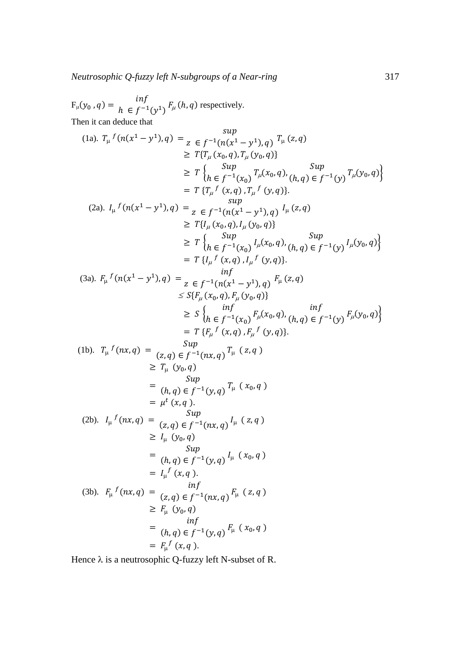F<sub>μ</sub>(y<sub>0</sub>, q) = 
$$
\inf_{h \in f^{-1}(y^1)} F_{\mu}(h, q)
$$
 respectively.  
\nThen it can deduce that  
\n
$$
(1a). T_{\mu} f(n(x^1 - y^1), q) = \lim_{z \in f^{-1}(n(x^1 - y^1), q)} T_{\mu}(z, q)
$$
\n
$$
\geq T \{T_{\mu}(x_0, q), T_{\mu}(y_0, q)\}
$$
\n
$$
\geq T \{T_{\mu}(x_0, q), T_{\mu}(y_0, q)\}
$$
\n
$$
\geq T \{T_{\mu}(x_0, q), T_{\mu}(y_0, q)\}
$$
\n
$$
= T \{T_{\mu} f(x_0, q), T_{\mu} f(y, q)\}
$$
\n
$$
(2a). I_{\mu} f(n(x^1 - y^1), q) = \lim_{z \in f^{-1}(n(x^1 - y^1), q)} I_{\mu}(z, q)
$$
\n
$$
\geq T \{I_{\mu}(x_0, q), I_{\mu}(y_0, q)\}
$$
\n
$$
\geq T \{I_{\mu}(x_0, q), I_{\mu}(y_0, q)\}
$$
\n
$$
\geq T \{I_{\mu} f(x, q), I_{\mu} f(y, q)\}
$$
\n
$$
= T \{I_{\mu} f(x, q), I_{\mu} f(y, q)\}
$$
\n
$$
= T \{I_{\mu} f(x, q), I_{\mu} f(y, q)\}
$$
\n
$$
= T \{I_{\mu} f(x, q), I_{\mu} f(y, q)\}
$$
\n
$$
\leq S \{F_{\mu}(x_0, q), F_{\mu}(y_0, q)\}
$$
\n
$$
= T \{F_{\mu} f(x, q), F_{\mu} f(y, q)\}
$$
\n
$$
\leq S \{F_{\mu}(x_0, q), F_{\mu}(y_0, q)\}
$$
\n
$$
= T \{F_{\mu} f(x, q), F_{\mu} f(y, q)\}
$$
\n
$$
= T \{F_{\mu} f(x, q), F_{\mu} f(y, q)\}
$$
\n
$$
= T \{F_{\mu} f(x, q), F_{\mu} f(y, q)\}
$$
\n
$$
= T \{F_{\mu} f(x
$$

Hence  $\lambda$  is a neutrosophic Q-fuzzy left N-subset of R.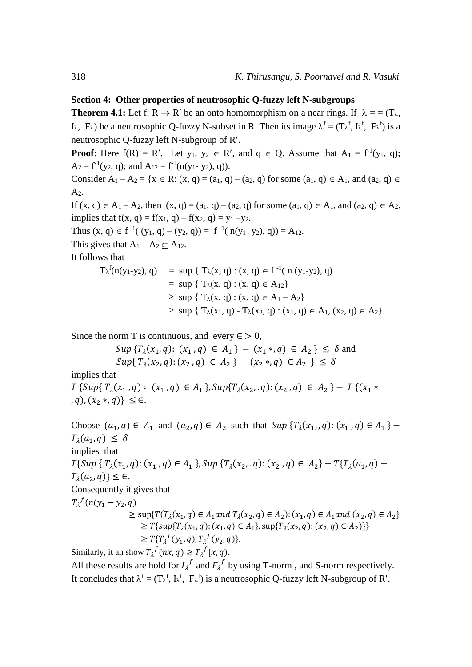### **Section 4: Other properties of neutrosophic Q-fuzzy left N-subgroups**

**Theorem 4.1:** Let f:  $R \to R'$  be an onto homomorphism on a near rings. If  $\lambda = (T_{\lambda}, T_{\lambda})$ I<sub> $\lambda$ </sub>,  $F_{\lambda}$ ) be a neutrosophic Q-fuzzy N-subset in R. Then its image  $\lambda^f = (T\lambda^f, I\lambda^f, F\lambda^f)$  is a neutrosophic Q-fuzzy left N-subgroup of R.

**Proof**: Here  $f(R) = R'$ . Let  $y_1, y_2 \in R'$ , and  $q \in Q$ . Assume that  $A_1 = f^{-1}(y_1, q)$ ;  $A_2 = f^{-1}(y_2, q)$ ; and  $A_{12} = f^{-1}(n(y_1 - y_2), q)$ ).

Consider  $A_1 - A_2 = \{x \in \mathbb{R} : (x, q) = (a_1, q) - (a_2, q) \text{ for some } (a_1, q) \in A_1, \text{ and } (a_2, q) \in A_2\}$  $A<sub>2</sub>$ .

If  $(x, q) \in A_1 - A_2$ , then  $(x, q) = (a_1, q) - (a_2, q)$  for some  $(a_1, q) \in A_1$ , and  $(a_2, q) \in A_2$ . implies that  $f(x, q) = f(x_1, q) - f(x_2, q) = y_1 - y_2$ .

Thus  $(x, q) \in f^{-1}((y_1, q) - (y_2, q)) = f^{-1}(n(y_1, y_2), q)) = A_{12}$ .

This gives that  $A_1 - A_2 \subseteq A_{12}$ .

It follows that

$$
T_{\lambda}^{f}(n(y_{1}-y_{2}), q) = \sup \{ T_{\lambda}(x, q) : (x, q) \in f^{-1}(n (y_{1}-y_{2}), q) = \sup \{ T_{\lambda}(x, q) : (x, q) \in A_{12} \} \ge \sup \{ T_{\lambda}(x, q) : (x, q) \in A_{1} - A_{2} \} \ge \sup \{ T_{\lambda}(x_{1}, q) - T_{\lambda}(x_{2}, q) : (x_{1}, q) \in A_{1}, (x_{2}, q) \in A_{2} \}
$$

Since the norm T is continuous, and every  $\epsilon > 0$ ,

$$
Sup \{T_{\lambda}(x_1, q): (x_1, q) \in A_1\} - (x_1 *, q) \in A_2\} \le \delta \text{ and}
$$
  
\n
$$
Sup \{T_{\lambda}(x_2, q): (x_2, q) \in A_2\} - (x_2 *, q) \in A_2\} \le \delta
$$

implies that

 ${T \{Sup\{T_\lambda(x_1, q): (x_1, q) \in A_1\}}$ ,  $Sup\{T_\lambda(x_2, q): (x_2, q) \in A_2\}$  -  ${T \{(x_1 *$ , q),  $(x_2 *, q) \le \in$ .

Choose  $(a_1, q) \in A_1$  and  $(a_2, q) \in A_2$  such that  $Sup \{T_\lambda(x_1), q\} \colon (x_1, q) \in A_1\}$  $T_{\lambda}(a_1, q) \leq \delta$ implies that  $T\{Sup\{T_\lambda(x_1,q): (x_1,q)\in A_1\}$ ,  $Sup\{T_\lambda(x_2,q): (x_2,q)\in A_2\} - T\{T_\lambda(a_1,q)\} T_{\lambda}(a_2, q) \leq \epsilon.$ Consequently it gives that  $T_{\lambda}^{f}(n(y_1 - y_2, q))$  $\geq$  sup{ $T(T_\lambda(x_1, q) \in A_1$  and  $T_\lambda(x_2, q) \in A_2$ ):  $(x_1, q) \in A_1$  and  $(x_2, q) \in A_2$ }  $\geq T\{sup\{T_\lambda(x_1,q): (x_1,q)\in A_1\}.sup\{T_\lambda(x_2,q): (x_2,q)\in A_2)\}\}\$  $\geq T\{T_{\lambda}^{f}(y_1, q), T_{\lambda}^{f}(y_2, q)\}.$ 

Similarly, it an show  $T_{\lambda}^{f}(nx, q) \geq T_{\lambda}^{f}(x, q)$ .

All these results are hold for  $I_{\lambda}^f$  and  $F_{\lambda}^f$  by using T-norm, and S-norm respectively. It concludes that  $\lambda^f = (T_{\lambda}^f, I_{\lambda}^f, F_{\lambda}^f)$  is a neutrosophic Q-fuzzy left N-subgroup of R'.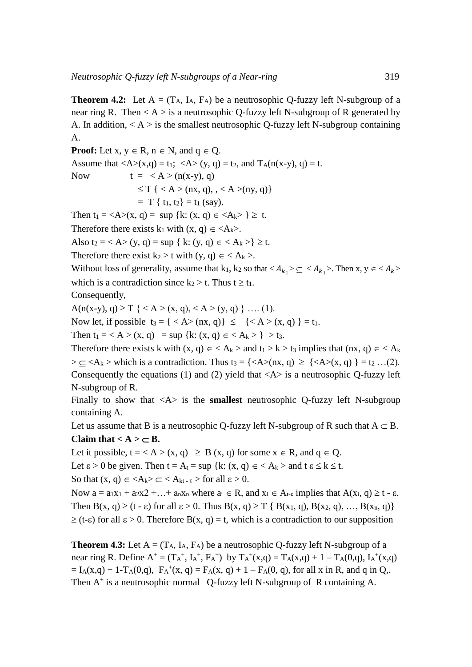**Theorem 4.2:** Let  $A = (T_A, I_A, F_A)$  be a neutrosophic Q-fuzzy left N-subgroup of a near ring R. Then  $\langle A \rangle$  is a neutrosophic Q-fuzzy left N-subgroup of R generated by A. In addition,  $\langle A \rangle$  is the smallest neutrosophic Q-fuzzy left N-subgroup containing A.

**Proof:** Let  $x, y \in R$ ,  $n \in N$ , and  $q \in Q$ . Assume that  $\langle A \rangle(x,q) = t_1$ ;  $\langle A \rangle(y,q) = t_2$ , and  $T_A(n(x-y), q) = t$ . Now  $t = < A > (n(x-y), q)$  $\leq T \{ < A > (nx, q), \, < A > (ny, q) \}$  $= T \{ t_1, t_2 \} = t_1$  (say). Then  $t_1 = \langle A \rangle(x, q) = \sup \{k: (x, q) \in \langle A_k \rangle \} \geq t$ .

Therefore there exists k<sub>1</sub> with  $(x, q) \in \langle A_k \rangle$ .

Also  $t_2 = < A > (y, q) = \sup \{ k : (y, q) \in < A_k > \} \ge t$ .

Therefore there exist  $k_2 > t$  with  $(y, q) \in \langle A_k \rangle$ .

Without loss of generality, assume that  $k_1, k_2$  so that  $\langle A_{k_1} \rangle \subseteq \langle A_{k_1} \rangle$ . Then x,  $y \in \langle A_k \rangle$ which is a contradiction since  $k_2 > t$ . Thus  $t \ge t_1$ .

Consequently,

 $A(n(x-y), q) \geq T \{ \leq A > (x, q), \leq A > (y, q) \} \dots (1).$ 

Now let, if possible  $t_3 = \{ \langle A \rangle (nx, q) \} \le \{ \langle A \rangle (x, q) \} = t_1$ .

Then  $t_1 = < A > (x, q) = \sup \{k: (x, q) \in < A_k > \} > t_3.$ 

Therefore there exists k with  $(x, q) \in \langle A_k \rangle$  and  $t_1 > k > t_3$  implies that  $(nx, q) \in \langle A_k \rangle$  $>\subseteq$  <A<sub>k</sub> > which is a contradiction. Thus t<sub>3</sub> = {<A>(nx, q)  $\geq$  {<A>(x, q) } = t<sub>2</sub> ...(2). Consequently the equations (1) and (2) yield that  $\langle A \rangle$  is a neutrosophic Q-fuzzy left N-subgroup of R.

Finally to show that <A> is the **smallest** neutrosophic Q-fuzzy left N-subgroup containing A.

Let us assume that B is a neutrosophic Q-fuzzy left N-subgroup of R such that  $A \subset B$ .

### Claim that  $\lt A \gt \lt B$ .

Let it possible,  $t = < A > (x, q) \geq B(x, q)$  for some  $x \in R$ , and  $q \in Q$ . Let  $\epsilon > 0$  be given. Then  $t = A_t = \sup \{k: (x, q) \in A_k > \text{and } t \in \leq k \leq t. \}$ So that  $(x, q) \in \langle A_k \rangle \subset \langle A_{kt-k} \rangle$  for all  $\varepsilon > 0$ .

Now  $a = a_1x_1 + a_2x_2 + \ldots + a_nx_n$  where  $a_i \in R$ , and  $x_i \in A_{t-s}$  implies that  $A(x_i, q) \ge t - \varepsilon$ . Then  $B(x, q) \ge (t - \varepsilon)$  for all  $\varepsilon > 0$ . Thus  $B(x, q) \ge T \{B(x_1, q), B(x_2, q), ..., B(x_n, q)\}\$  $\geq$  (t- $\epsilon$ ) for all  $\epsilon > 0$ . Therefore B(x, q) = t, which is a contradiction to our supposition

**Theorem 4.3:** Let  $A = (T_A, I_A, F_A)$  be a neutrosophic Q-fuzzy left N-subgroup of a near ring R. Define  $A^+ = (T_A^+, I_A^+, F_A^+)$  by  $T_A^+(x,q) = T_A(x,q) + 1 - T_A(0,q)$ ,  $I_A^+(x,q)$  $= I_A(x,q) + 1 - T_A(0,q)$ ,  $F_A^+(x,q) = F_A(x,q) + 1 - F_A(0,q)$ , for all x in R, and q in Q,. Then  $A^+$  is a neutrosophic normal Q-fuzzy left N-subgroup of R containing A.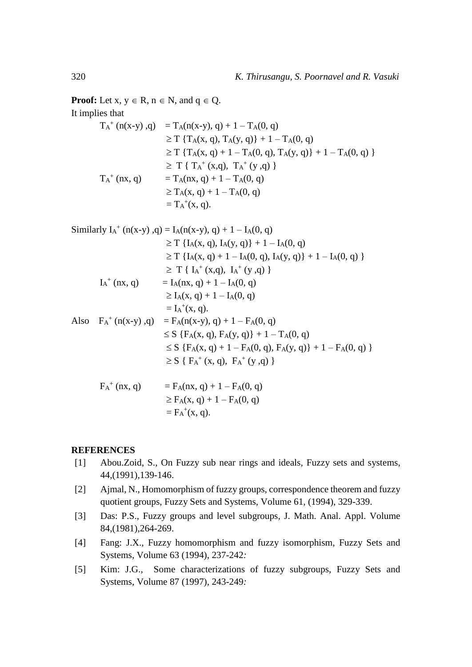**Proof:** Let  $x, y \in R$ ,  $n \in N$ , and  $q \in Q$ . It implies that

$$
T_A^+ (n(x-y), q) = T_A(n(x-y), q) + 1 - T_A(0, q)
$$
  
\n
$$
\ge T \{T_A(x, q), T_A(y, q)\} + 1 - T_A(0, q)
$$
  
\n
$$
\ge T \{T_A(x, q) + 1 - T_A(0, q), T_A(y, q)\} + 1 - T_A(0, q) \}
$$
  
\n
$$
\ge T \{T_A^+(x,q), T_A^+(y,q)\}
$$
  
\n
$$
T_A^+(nx, q) = T_A(nx, q) + 1 - T_A(0, q)
$$
  
\n
$$
\ge T_A(x, q) + 1 - T_A(0, q)
$$
  
\n
$$
= T_A^+(x, q).
$$

Similarly 
$$
I_A^+(n(x-y), q) = I_A(n(x-y), q) + 1 - I_A(0, q)
$$
  
\n $\ge T \{I_A(x, q), I_A(y, q)\} + 1 - I_A(0, q)$   
\n $\ge T \{I_A(x, q) + 1 - I_A(0, q), I_A(y, q)\} + 1 - I_A(0, q)$   
\n $\ge T \{I_A^+(x,q), I_A^+(y,q)\}$   
\n $I_A^+(nx, q) = I_A(nx, q) + 1 - I_A(0, q)$   
\n $\ge I_A(x, q) + 1 - I_A(0, q)$   
\n $= I_A^+(x, q)$ .  
\nAlso  $F_A^+(n(x-y), q) = F_A(n(x-y), q) + 1 - F_A(0, q)$   
\n $\le S \{F_A(x, q), F_A(y, q)\} + 1 - T_A(0, q)$   
\n $\le S \{F_A(x, q) + 1 - F_A(0, q), F_A(y, q)\} + 1 - F_A(0, q)$   
\n $\ge S \{F_A^+(x, q), F_A^+(y, q)\}$   
\n $\ge S \{F_A^+(x, q) + 1 - F_A(0, q)\}$ 

$$
\geq F_A(x, q) + 1 - F_A(0, q) = F_A^+(x, q).
$$

### **REFERENCES**

- [1] Abou.Zoid, S., On Fuzzy sub near rings and ideals, Fuzzy sets and systems, 44,(1991),139-146.
- [2] Ajmal, N., Homomorphism of fuzzy groups, correspondence theorem and fuzzy quotient groups, Fuzzy Sets and Systems, Volume 61, (1994), 329-339.
- [3] Das: P.S., Fuzzy groups and level subgroups, J. Math. Anal. Appl. Volume 84,(1981),264-269.
- [4] Fang: J.X., Fuzzy homomorphism and fuzzy isomorphism, Fuzzy Sets and Systems, Volume 63 (1994), 237-242*:*
- [5] Kim: J.G., Some characterizations of fuzzy subgroups, Fuzzy Sets and Systems, Volume 87 (1997), 243-249*:*